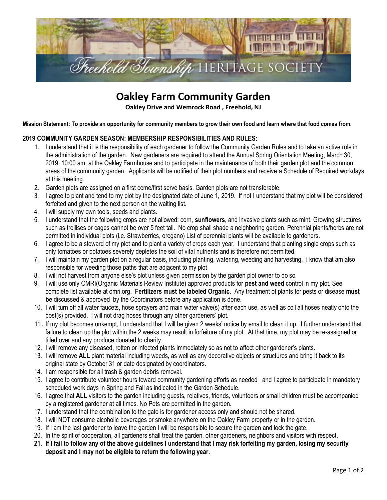

## **Oakley Farm Community Garden**

**Oakley Drive and Wemrock Road , Freehold, NJ**

**Mission Statement: To provide an opportunity for community members to grow their own food and learn where that food comes from.** 

## **2019 COMMUNITY GARDEN SEASON: MEMBERSHIP RESPONSIBILITIES AND RULES:**

- 1. I understand that it is the responsibility of each gardener to follow the Community Garden Rules and to take an active role in the administration of the garden. New gardeners are required to attend the Annual Spring Orientation Meeting, March 30, 2019, 10:00 am, at the Oakley Farmhouse and to participate in the maintenance of both their garden plot and the common areas of the community garden. Applicants will be notified of their plot numbers and receive a Schedule of Required workdays at this meeting.
- 2. Garden plots are assigned on a first come/first serve basis. Garden plots are not transferable.
- 3. I agree to plant and tend to my plot by the designated date of June 1, 2019. If not I understand that my plot will be considered forfeited and given to the next person on the waiting list.
- 4. I will supply my own tools, seeds and plants.
- 5. I understand that the following crops are not allowed: corn, **sunflowers**, and invasive plants such as mint. Growing structures such as trellises or cages cannot be over 5 feet tall. No crop shall shade a neighboring garden. Perennial plants/herbs are not permitted in individual plots (i.e. Strawberries, oregano) List of perennial plants will be available to gardeners.
- 6. I agree to be a steward of my plot and to plant a variety of crops each year. I understand that planting single crops such as only tomatoes or potatoes severely depletes the soil of vital nutrients and is therefore not permitted.
- 7. I will maintain my garden plot on a regular basis, including planting, watering, weeding and harvesting. I know that am also responsible for weeding those paths that are adjacent to my plot.
- 8. I will not harvest from anyone else's plot unless given permission by the garden plot owner to do so.
- 9. I will use only OMRI(Organic Materials Review Institute) approved products for **pest and weed** control in my plot. See complete list available at omri.org. **Fertilizers must be labeled Organic**. Any treatment of plants for pests or disease **must be** discussed & approved by the Coordinators before any application is done.
- 10. I will turn off all water faucets, hose sprayers and main water valve(s) after each use, as well as coil all hoses neatly onto the post(s) provided. I will not drag hoses through any other gardeners' plot.
- 11. If my plot becomes unkempt, I understand that I will be given 2 weeks' notice by email to clean it up. I further understand that failure to clean up the plot within the 2 weeks may result in forfeiture of my plot. At that time, my plot may be re-assigned or tilled over and any produce donated to charity.
- 12. I will remove any diseased, rotten or infected plants immediately so as not to affect other gardener's plants.
- 13. I will remove **ALL** plant material including weeds, as well as any decorative objects or structures and bring it back to its original state by October 31 or date designated by coordinators.
- 14. I am responsible for all trash & garden debris removal.
- 15. I agree to contribute volunteer hours toward community gardening efforts as needed and I agree to participate in mandatory scheduled work days in Spring and Fall as indicated in the Garden Schedule.
- 16. I agree that **ALL** visitors to the garden including guests, relatives, friends, volunteers or small children must be accompanied by a registered gardener at all times. No Pets are permitted in the garden.
- 17. I understand that the combination to the gate is for gardener access only and should not be shared.
- 18. I will NOT consume alcoholic beverages or smoke anywhere on the Oakley Farm property or in the garden.
- 19. If I am the last gardener to leave the garden I will be responsible to secure the garden and lock the gate.
- 20. In the spirit of cooperation, all gardeners shall treat the garden, other gardeners, neighbors and visitors with respect,
- **21. If I fail to follow any of the above guidelines I understand that I may risk forfeiting my garden, losing my security deposit and I may not be eligible to return the following year.**